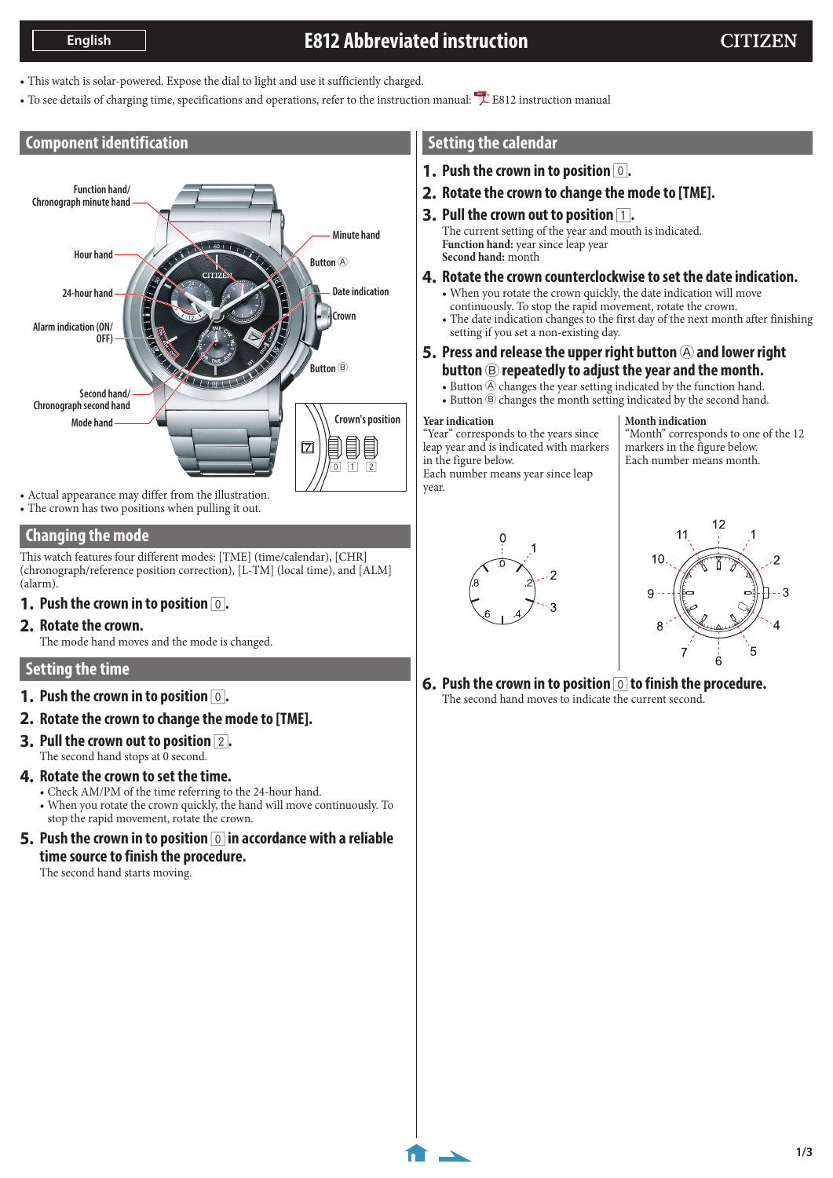# **E812 Abbreviated instruction**

- This watch is solar-powered. Expose the dial to light and use it sufficiently charged.
- To see details of charging time, specifications and operations, refer to the instruction manual: [E812 instruction manual](http://www.citizenwatch-global.com/support/pdf/e810/e.pdf)

### **Component identification**



• Actual appearance may differ from the illustration. • The crown has two positions when pulling it out.

## **Changing the mode**

This watch features four different modes: [TME] (time/calendar), [CHR] (chronograph/reference position correction), [L-TM] (local time), and [ALM] (alarm).

**1.** Push the crown in to position  $\boxed{0}$ .

#### **2. Rotate the crown.**

The mode hand moves and the mode is changed.

#### **Setting the time**

- **1.** Push the crown in to position  $\boxed{0}$ .
- **2. Rotate the crown to change the mode to [TME].**
- **3. Pull the crown out to position** 2**.** The second hand stops at 0 second.

#### **4. Rotate the crown to set the time.**

- Check AM/PM of the time referring to the 24-hour hand.
- When you rotate the crown quickly, the hand will move continuously. To stop the rapid movement, rotate the crown.
- **5.** Push the crown in to position  $\boxed{0}$  in accordance with a reliable **time source to finish the procedure.**

The second hand starts moving.

## <span id="page-0-0"></span>**Setting the calendar**

- **1.** Push the crown in to position  $\boxed{0}$ .
- **2. Rotate the crown to change the mode to [TME].**
- **3.** Pull the crown out to position  $\boxed{1}$ .

The current setting of the year and mouth is indicated. **Function hand:** year since leap year **Second hand:** month

- **4. Rotate the crown counterclockwise to set the date indication.**
	- When you rotate the crown quickly, the date indication will move continuously. To stop the rapid movement, rotate the crown. • The date indication changes to the first day of the next month after finishing
- setting if you set a non-existing day. **5.** Press and release the upper right button  $\circledA$  and lower right
	- **button** B **repeatedly to adjust the year and the month.**
	- $\bullet$  Button  $\circledA$  changes the year setting indicated by the function hand.
	- Button  $\circledB$  changes the month setting indicated by the second hand.

#### **Year indication**

year.

"Year" corresponds to the years since leap year and is indicated with markers in the figure below. Each number means year since leap

**Month indication** "Month" corresponds to one of the 12 markers in the figure below. Each number means month.





**6. Push the crown in to position** 0 **to finish the procedure.** The second hand moves to indicate the current second.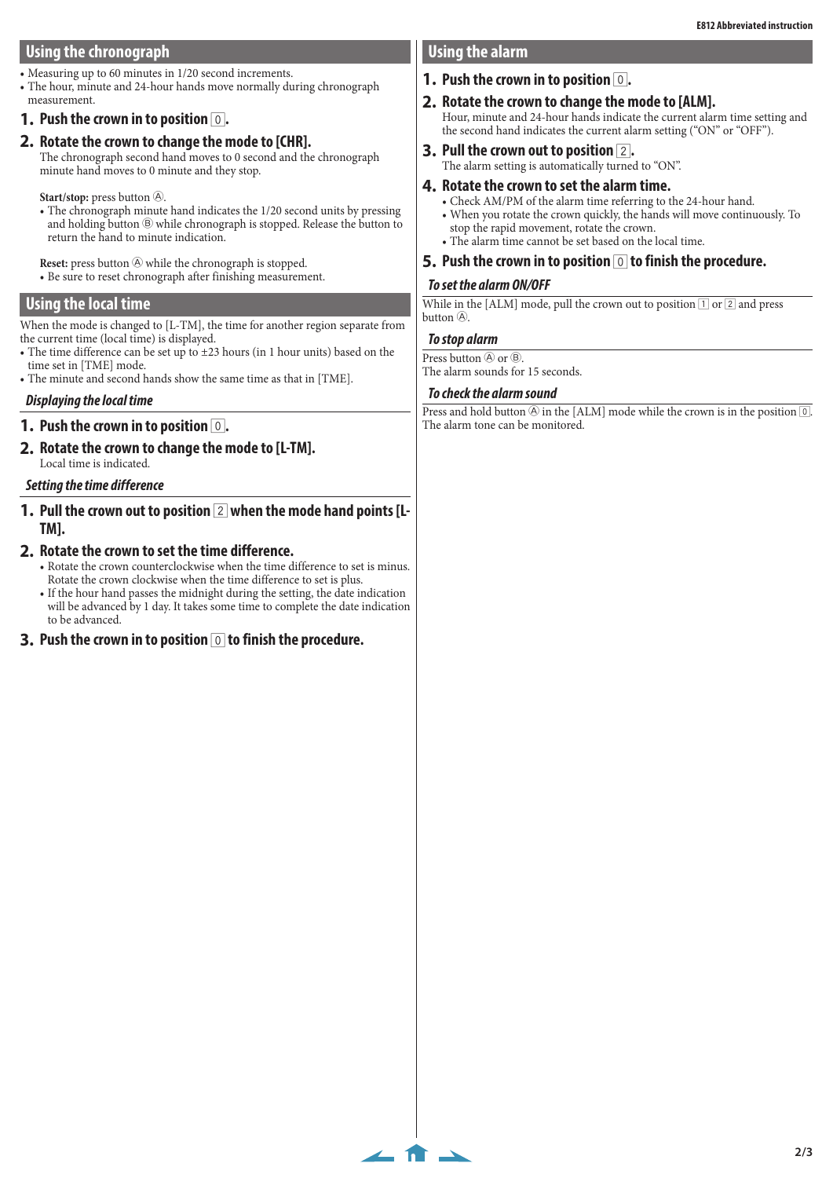## **Using the chronograph**

- Measuring up to 60 minutes in 1/20 second increments.
- The hour, minute and 24-hour hands move normally during chronograph measurement.
- **1. Push the crown in to position** 0**.**
- **2. Rotate the crown to change the mode to [CHR].**
- The chronograph second hand moves to 0 second and the chronograph minute hand moves to 0 minute and they stop.

Start/stop: press button  $\circledA$ .

• The chronograph minute hand indicates the 1/20 second units by pressing and holding button  $\circledB$  while chronograph is stopped. Release the button to return the hand to minute indication.

**Reset:** press button  $\circledA$  while the chronograph is stopped.

• Be sure to reset chronograph after finishing measurement.

### **Using the local time**

When the mode is changed to [L-TM], the time for another region separate from the current time (local time) is displayed.

- The time difference can be set up to ±23 hours (in 1 hour units) based on the time set in [TME] mode.
- The minute and second hands show the same time as that in [TME].

#### *Displaying the local time*

#### **1.** Push the crown in to position  $\boxed{0}$ .

**2. Rotate the crown to change the mode to [L-TM].** Local time is indicated.

#### *Setting the time difference*

**1. Pull the crown out to position** 2 **when the mode hand points [L-TM].**

#### **2. Rotate the crown to set the time difference.**

- Rotate the crown counterclockwise when the time difference to set is minus. Rotate the crown clockwise when the time difference to set is plus.
- If the hour hand passes the midnight during the setting, the date indication will be advanced by 1 day. It takes some time to complete the date indication to be advanced.
- **3. Push the crown in to position** 0 **to finish the procedure.**

## **Using the alarm**

## **1.** Push the crown in to position  $\boxed{0}$ .

- **2. Rotate the crown to change the mode to [ALM].** Hour, minute and 24-hour hands indicate the current alarm time setting and the second hand indicates the current alarm setting ("ON" or "OFF").
- **3. Pull the crown out to position** 2**.** The alarm setting is automatically turned to "ON".
- **4. Rotate the crown to set the alarm time.**
	- Check AM/PM of the alarm time referring to the 24-hour hand.
	- When you rotate the crown quickly, the hands will move continuously. To stop the rapid movement, rotate the crown.
	- The alarm time cannot be set based on the local time.
- **5. Push the crown in to position** 0 **to finish the procedure.**

#### *To set the alarm ON/OFF*

While in the [ALM] mode, pull the crown out to position  $\Box$  or  $\Box$  and press button  $\mathbb{\widehat{A}}$ 

#### *To stop alarm*

 $\leftarrow$  n  $\rightarrow$ 

Press button  $\textcircled{a}$  or  $\textcircled{b}$ .

The alarm sounds for 15 seconds.

#### *To check the alarm sound*

Press and hold button  $\circledA$  in the [ALM] mode while the crown is in the position  $\circledD$ . The alarm tone can be monitored.